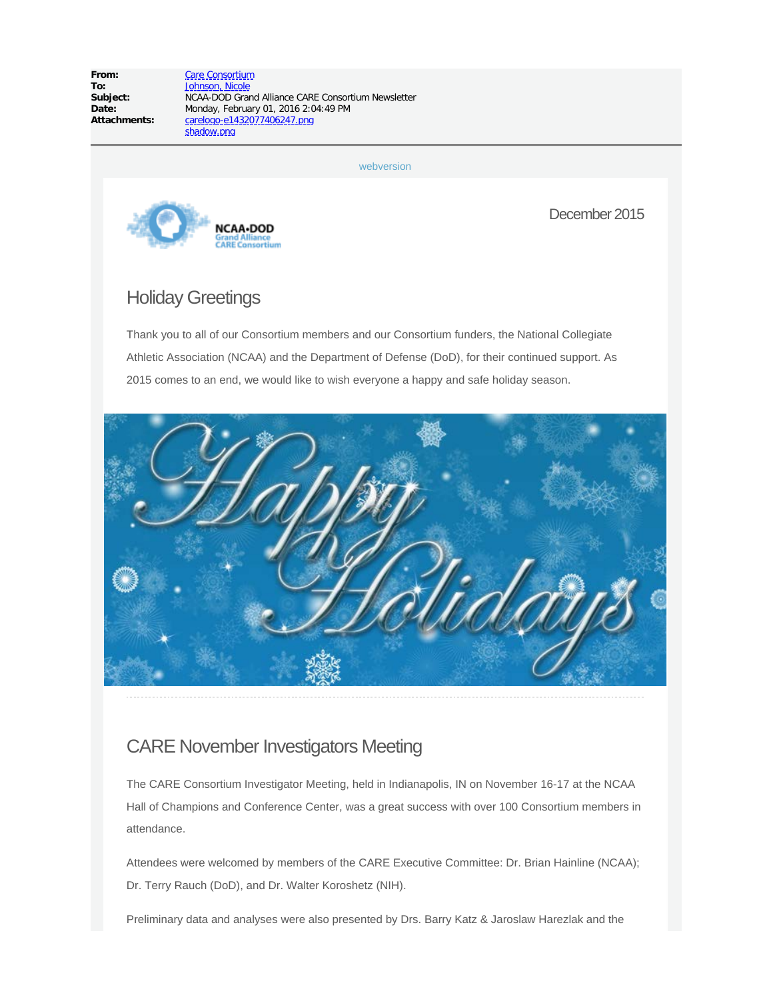**From:** [Care Consortium](mailto:careaoc@iupui.edu) **To:** [Johnson, Nicole](mailto:njohnso2@iu.edu)<br> **Subject:** NCAA-DOD Gran

**Subject:** NCAA-DOD Grand Alliance CARE Consortium Newsletter **Date:** Monday, February 01, 2016 2:04:49 PM<br>**Attachments:** <u>Carelogo-e1432077406247.pnq</u> **Attachments:** carelogo-e1432077406247.png shadow.png

[webversion](http://careconsortium.net/mymail/718/00000000000000000000000000000000/aHR0cDovL2NhcmVjb25zb3J0aXVtLm5ldC8_cG9zdF90eXBlPW5ld3NsZXR0ZXImcD03MTg)



December 2015

# Holiday Greetings

Thank you to all of our Consortium members and our Consortium funders, the National Collegiate Athletic Association (NCAA) and the Department of Defense (DoD), for their continued support. As 2015 comes to an end, we would like to wish everyone a happy and safe holiday season.



#### CARE November Investigators Meeting

The CARE Consortium Investigator Meeting, held in Indianapolis, IN on November 16-17 at the NCAA Hall of Champions and Conference Center, was a great success with over 100 Consortium members in attendance.

Attendees were welcomed by members of the CARE Executive Committee: Dr. Brian Hainline (NCAA); Dr. Terry Rauch (DoD), and Dr. Walter Koroshetz (NIH).

Preliminary data and analyses were also presented by Drs. Barry Katz & Jaroslaw Harezlak and the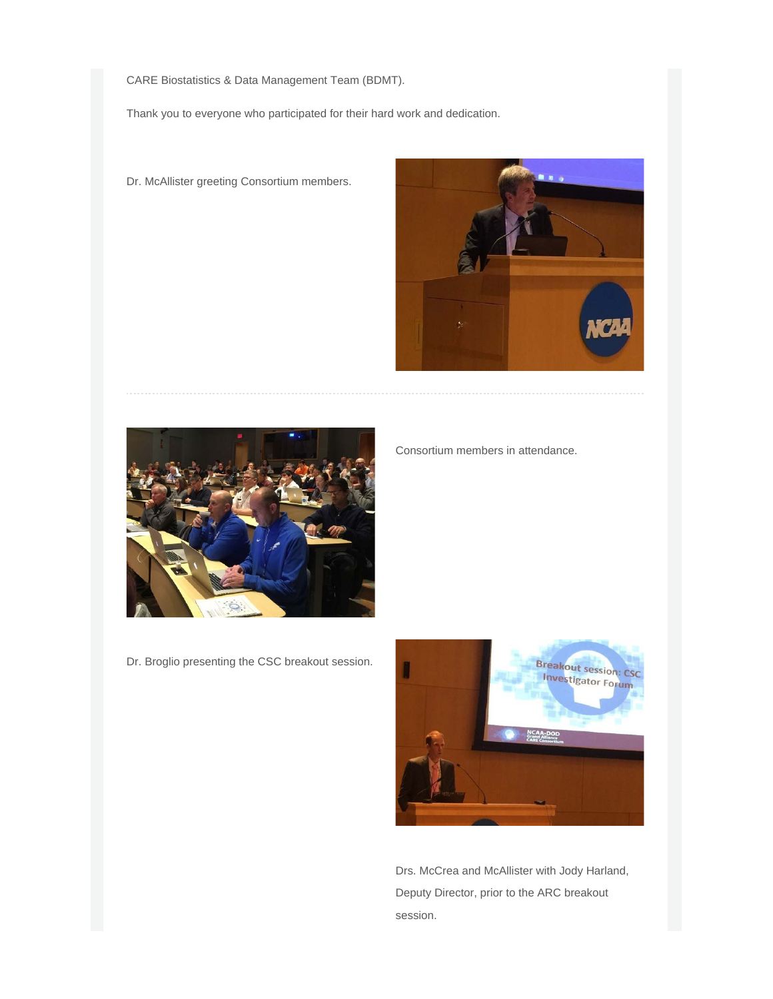CARE Biostatistics & Data Management Team (BDMT).

Thank you to everyone who participated for their hard work and dedication.



Consortium members in attendance.

Dr. McAllister greeting Consortium members.



Dr. Broglio presenting the CSC breakout session.

Breakout session: CSC<br>Investigator Forum

Drs. McCrea and McAllister with Jody Harland, Deputy Director, prior to the ARC breakout session.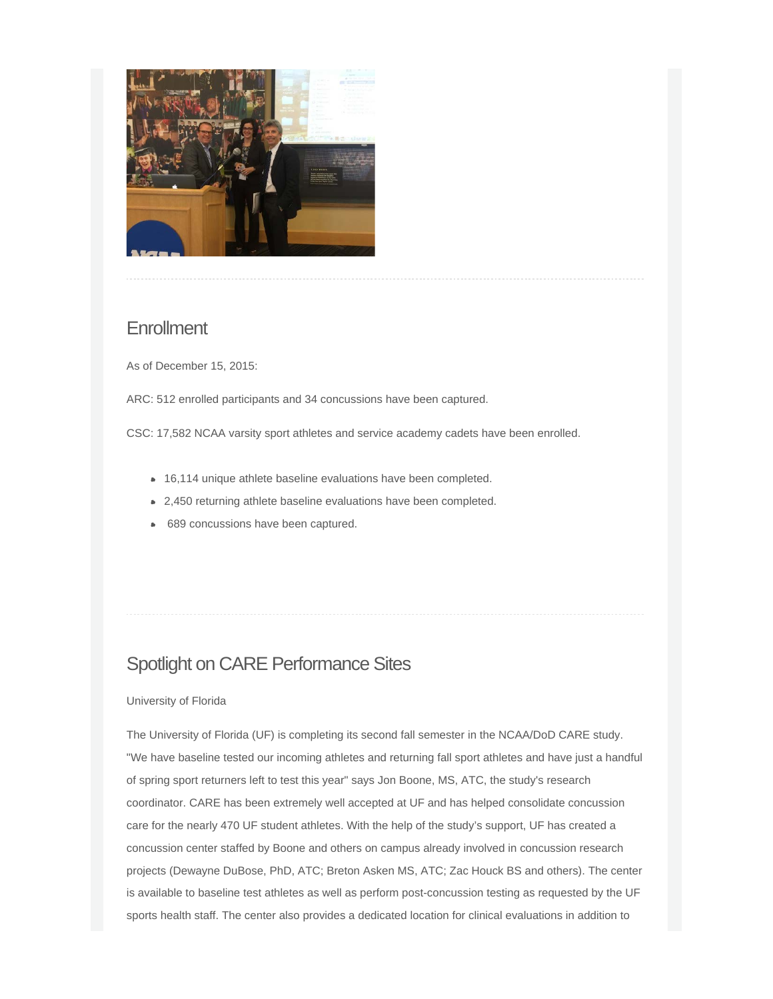

#### **Enrollment**

As of December 15, 2015:

ARC: 512 enrolled participants and 34 concussions have been captured.

CSC: 17,582 NCAA varsity sport athletes and service academy cadets have been enrolled.

- 16,114 unique athlete baseline evaluations have been completed.
- 2,450 returning athlete baseline evaluations have been completed.
- **689 concussions have been captured.**

## Spotlight on CARE Performance Sites

#### University of Florida

The University of Florida (UF) is completing its second fall semester in the NCAA/DoD CARE study. "We have baseline tested our incoming athletes and returning fall sport athletes and have just a handful of spring sport returners left to test this year" says Jon Boone, MS, ATC, the study's research coordinator. CARE has been extremely well accepted at UF and has helped consolidate concussion care for the nearly 470 UF student athletes. With the help of the study's support, UF has created a concussion center staffed by Boone and others on campus already involved in concussion research projects (Dewayne DuBose, PhD, ATC; Breton Asken MS, ATC; Zac Houck BS and others). The center is available to baseline test athletes as well as perform post-concussion testing as requested by the UF sports health staff. The center also provides a dedicated location for clinical evaluations in addition to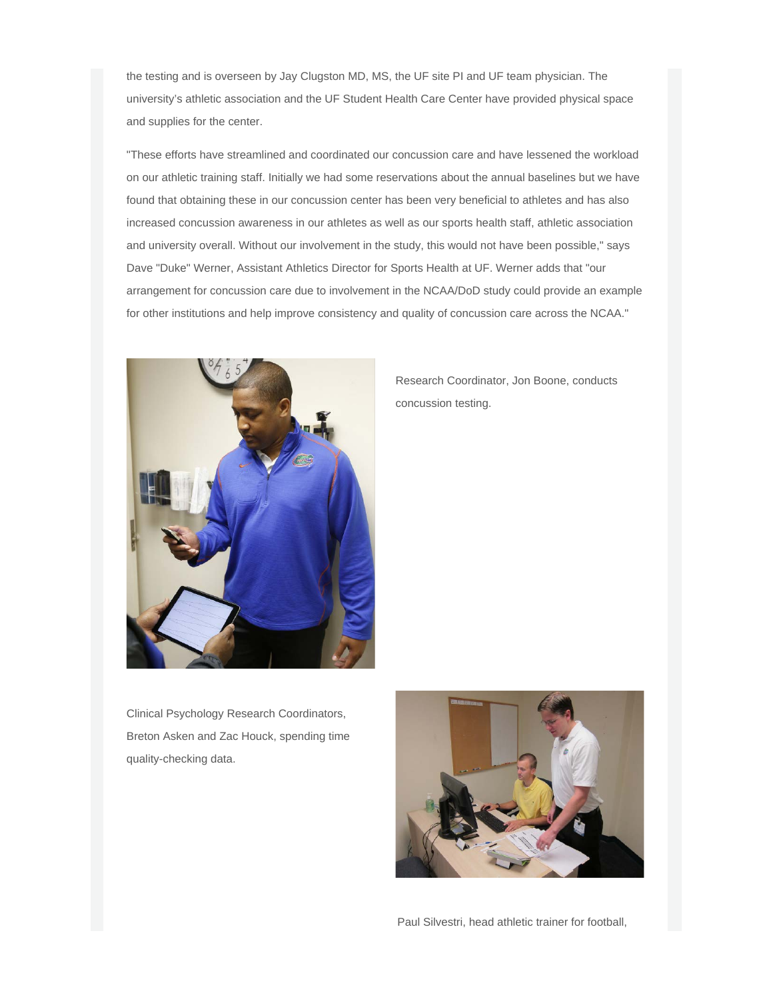the testing and is overseen by Jay Clugston MD, MS, the UF site PI and UF team physician. The university's athletic association and the UF Student Health Care Center have provided physical space and supplies for the center.

"These efforts have streamlined and coordinated our concussion care and have lessened the workload on our athletic training staff. Initially we had some reservations about the annual baselines but we have found that obtaining these in our concussion center has been very beneficial to athletes and has also increased concussion awareness in our athletes as well as our sports health staff, athletic association and university overall. Without our involvement in the study, this would not have been possible," says Dave "Duke" Werner, Assistant Athletics Director for Sports Health at UF. Werner adds that "our arrangement for concussion care due to involvement in the NCAA/DoD study could provide an example for other institutions and help improve consistency and quality of concussion care across the NCAA."



Research Coordinator, Jon Boone, conducts concussion testing.

Clinical Psychology Research Coordinators, Breton Asken and Zac Houck, spending time quality-checking data.



Paul Silvestri, head athletic trainer for football,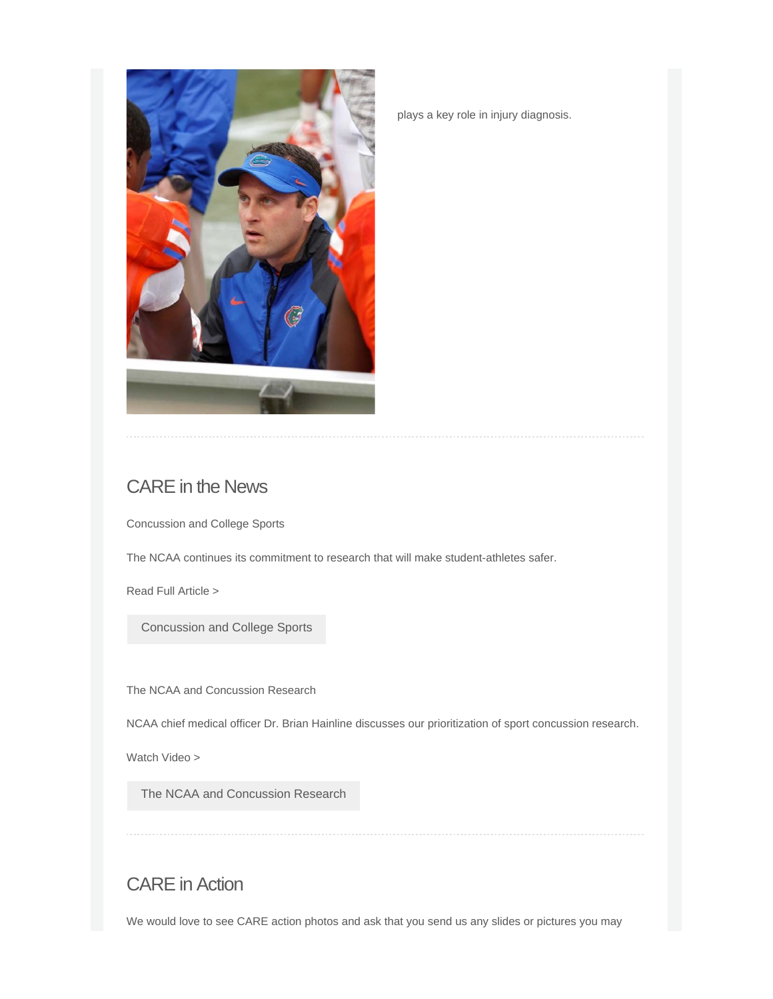

plays a key role in injury diagnosis.

# CARE in the News

Concussion and College Sports

The NCAA continues its commitment to research that will make student-athletes safer.

Read Full Article >

[Concussion and College Sports](http://careconsortium.net/mymail/718/00000000000000000000000000000000/aHR0cDovL2NhcmVjb25zb3J0aXVtLm5ldC9jb25jdXNzaW9uLWFuZC1jb2xsZWdlLXNwb3J0cy0yLw)

The NCAA and Concussion Research

NCAA chief medical officer Dr. Brian Hainline discusses our prioritization of sport concussion research.

Watch Video >

[The NCAA and Concussion Research](http://careconsortium.net/mymail/718/00000000000000000000000000000000/aHR0cDovL2NhcmVjb25zb3J0aXVtLm5ldC90aGUtbmNhYS1hbmQtY29uY3Vzc2lvbi1yZXNlYXJjaC8)

# CARE in Action

We would love to see CARE action photos and ask that you send us any slides or pictures you may